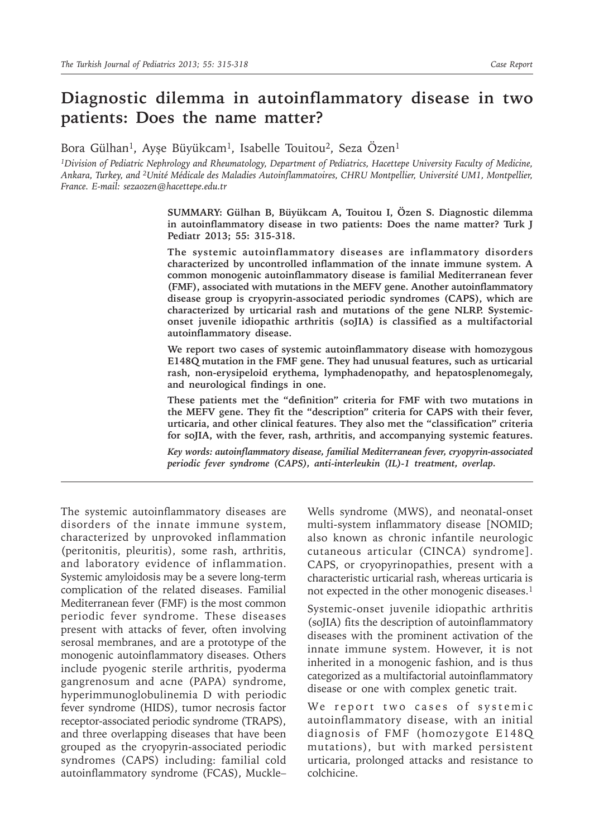# **Diagnostic dilemma in autoinflammatory disease in two patients: Does the name matter?**

Bora Gülhan<sup>1</sup>, Ayşe Büyükcam<sup>1</sup>, Isabelle Touitou<sup>2</sup>, Seza Özen<sup>1</sup>

*<sup>1</sup>Division of Pediatric Nephrology and Rheumatology, Department of Pediatrics, Hacettepe University Faculty of Medicine, Ankara, Turkey, and <sup>2</sup>Unité Médicale des Maladies Autoinflammatoires, CHRU Montpellier, Université UM1, Montpellier, France. E-mail: sezaozen@hacettepe.edu.tr*

> **SUMMARY: Gülhan B, Büyükcam A, Touitou I, Özen S. Diagnostic dilemma in autoinflammatory disease in two patients: Does the name matter? Turk J Pediatr 2013; 55: 315-318.**

> **The systemic autoinflammatory diseases are inflammatory disorders characterized by uncontrolled inflammation of the innate immune system. A common monogenic autoinflammatory disease is familial Mediterranean fever (FMF), associated with mutations in the MEFV gene. Another autoinflammatory disease group is cryopyrin-associated periodic syndromes (CAPS), which are characterized by urticarial rash and mutations of the gene NLRP. Systemiconset juvenile idiopathic arthritis (soJIA) is classified as a multifactorial autoinflammatory disease.**

> **We report two cases of systemic autoinflammatory disease with homozygous E148Q mutation in the FMF gene. They had unusual features, such as urticarial rash, non-erysipeloid erythema, lymphadenopathy, and hepatosplenomegaly, and neurological findings in one.**

> **These patients met the "definition" criteria for FMF with two mutations in the MEFV gene. They fit the "description" criteria for CAPS with their fever, urticaria, and other clinical features. They also met the "classification" criteria for soJIA, with the fever, rash, arthritis, and accompanying systemic features.**

> *Key words: autoinflammatory disease, familial Mediterranean fever, cryopyrin-associated periodic fever syndrome (CAPS), anti-interleukin (IL)-1 treatment, overlap.*

The systemic autoinflammatory diseases are disorders of the innate immune system, characterized by unprovoked inflammation (peritonitis, pleuritis), some rash, arthritis, and laboratory evidence of inflammation. Systemic amyloidosis may be a severe long-term complication of the related diseases. Familial Mediterranean fever (FMF) is the most common periodic fever syndrome. These diseases present with attacks of fever, often involving serosal membranes, and are a prototype of the monogenic autoinflammatory diseases. Others include pyogenic sterile arthritis, pyoderma gangrenosum and acne (PAPA) syndrome, hyperimmunoglobulinemia D with periodic fever syndrome (HIDS), tumor necrosis factor receptor-associated periodic syndrome (TRAPS), and three overlapping diseases that have been grouped as the cryopyrin-associated periodic syndromes (CAPS) including: familial cold autoinflammatory syndrome (FCAS), Muckle–

Wells syndrome (MWS), and neonatal-onset multi-system inflammatory disease [NOMID; also known as chronic infantile neurologic cutaneous articular (CINCA) syndrome]. CAPS, or cryopyrinopathies, present with a characteristic urticarial rash, whereas urticaria is not expected in the other monogenic diseases.<sup>1</sup>

Systemic-onset juvenile idiopathic arthritis (soJIA) fits the description of autoinflammatory diseases with the prominent activation of the innate immune system. However, it is not inherited in a monogenic fashion, and is thus categorized as a multifactorial autoinflammatory disease or one with complex genetic trait.

We report two cases of systemic autoinflammatory disease, with an initial diagnosis of FMF (homozygote E148Q mutations), but with marked persistent urticaria, prolonged attacks and resistance to colchicine.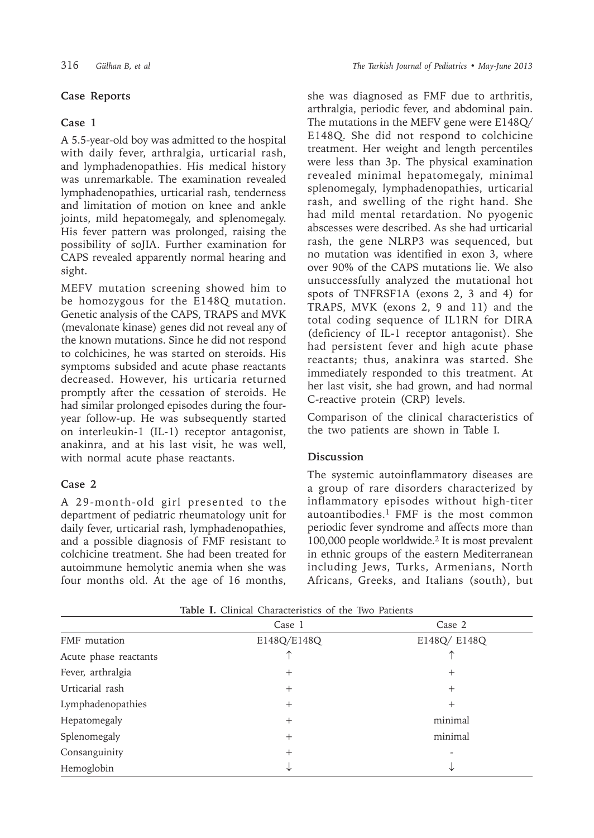## **Case Reports**

### **Case 1**

A 5.5-year-old boy was admitted to the hospital with daily fever, arthralgia, urticarial rash, and lymphadenopathies. His medical history was unremarkable. The examination revealed lymphadenopathies, urticarial rash, tenderness and limitation of motion on knee and ankle joints, mild hepatomegaly, and splenomegaly. His fever pattern was prolonged, raising the possibility of soJIA. Further examination for CAPS revealed apparently normal hearing and sight.

MEFV mutation screening showed him to be homozygous for the E148Q mutation. Genetic analysis of the CAPS, TRAPS and MVK (mevalonate kinase) genes did not reveal any of the known mutations. Since he did not respond to colchicines, he was started on steroids. His symptoms subsided and acute phase reactants decreased. However, his urticaria returned promptly after the cessation of steroids. He had similar prolonged episodes during the fouryear follow-up. He was subsequently started on interleukin-1 (IL-1) receptor antagonist, anakinra, and at his last visit, he was well, with normal acute phase reactants.

### **Case 2**

A 29-month-old girl presented to the department of pediatric rheumatology unit for daily fever, urticarial rash, lymphadenopathies, and a possible diagnosis of FMF resistant to colchicine treatment. She had been treated for autoimmune hemolytic anemia when she was four months old. At the age of 16 months, she was diagnosed as FMF due to arthritis, arthralgia, periodic fever, and abdominal pain. The mutations in the MEFV gene were E148Q/ E148Q. She did not respond to colchicine treatment. Her weight and length percentiles were less than 3p. The physical examination revealed minimal hepatomegaly, minimal splenomegaly, lymphadenopathies, urticarial rash, and swelling of the right hand. She had mild mental retardation. No pyogenic abscesses were described. As she had urticarial rash, the gene NLRP3 was sequenced, but no mutation was identified in exon 3, where over 90% of the CAPS mutations lie. We also unsuccessfully analyzed the mutational hot spots of TNFRSF1A (exons 2, 3 and 4) for TRAPS, MVK (exons 2, 9 and 11) and the total coding sequence of IL1RN for DIRA (deficiency of IL-1 receptor antagonist). She had persistent fever and high acute phase reactants; thus, anakinra was started. She immediately responded to this treatment. At her last visit, she had grown, and had normal C-reactive protein (CRP) levels.

Comparison of the clinical characteristics of the two patients are shown in Table Ι.

### **Discussion**

The systemic autoinflammatory diseases are a group of rare disorders characterized by inflammatory episodes without high-titer autoantibodies. $1$  FMF is the most common periodic fever syndrome and affects more than 100,000 people worldwide.<sup>2</sup> It is most prevalent in ethnic groups of the eastern Mediterranean including Jews, Turks, Armenians, North Africans, Greeks, and Italians (south), but

|                       | Case 1      | Case 2      |
|-----------------------|-------------|-------------|
| FMF mutation          | E148Q/E148Q | E148Q/E148Q |
| Acute phase reactants |             |             |
| Fever, arthralgia     | $^{+}$      | $+$         |
| Urticarial rash       | $^{+}$      | $^{+}$      |
| Lymphadenopathies     | $^{+}$      | $^{+}$      |
| Hepatomegaly          | $^{+}$      | minimal     |
| Splenomegaly          | $^{+}$      | minimal     |
| Consanguinity         | $^{+}$      |             |
| Hemoglobin            |             |             |

**Table Ι.** Clinical Characteristics of the Two Patients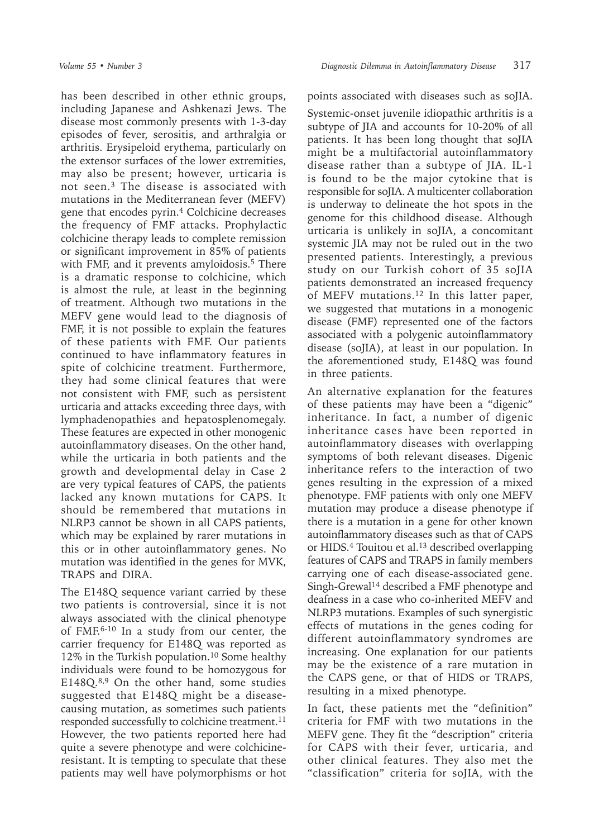has been described in other ethnic groups, including Japanese and Ashkenazi Jews. The disease most commonly presents with 1-3-day episodes of fever, serositis, and arthralgia or arthritis. Erysipeloid erythema, particularly on the extensor surfaces of the lower extremities, may also be present; however, urticaria is not seen.<sup>3</sup> The disease is associated with mutations in the Mediterranean fever (MEFV) gene that encodes pyrin.<sup>4</sup> Colchicine decreases the frequency of FMF attacks. Prophylactic colchicine therapy leads to complete remission or significant improvement in 85% of patients with FMF, and it prevents amyloidosis.<sup>5</sup> There is a dramatic response to colchicine, which is almost the rule, at least in the beginning of treatment. Although two mutations in the MEFV gene would lead to the diagnosis of FMF, it is not possible to explain the features of these patients with FMF. Our patients continued to have inflammatory features in spite of colchicine treatment. Furthermore, they had some clinical features that were not consistent with FMF, such as persistent urticaria and attacks exceeding three days, with lymphadenopathies and hepatosplenomegaly. These features are expected in other monogenic autoinflammatory diseases. On the other hand, while the urticaria in both patients and the growth and developmental delay in Case 2 are very typical features of CAPS, the patients lacked any known mutations for CAPS. It should be remembered that mutations in NLRP3 cannot be shown in all CAPS patients, which may be explained by rarer mutations in this or in other autoinflammatory genes. No mutation was identified in the genes for MVK, TRAPS and DIRA.

The E148Q sequence variant carried by these two patients is controversial, since it is not always associated with the clinical phenotype of FMF.6-10 In a study from our center, the carrier frequency for E148Q was reported as 12% in the Turkish population.<sup>10</sup> Some healthy individuals were found to be homozygous for E148Q.8,9 On the other hand, some studies suggested that E148Q might be a diseasecausing mutation, as sometimes such patients responded successfully to colchicine treatment.<sup>11</sup> However, the two patients reported here had quite a severe phenotype and were colchicineresistant. It is tempting to speculate that these patients may well have polymorphisms or hot

points associated with diseases such as soJIA. Systemic-onset juvenile idiopathic arthritis is a subtype of JIA and accounts for 10-20% of all patients. It has been long thought that soJIA might be a multifactorial autoinflammatory disease rather than a subtype of JIA. IL-1 is found to be the major cytokine that is responsible for soJIA. A multicenter collaboration is underway to delineate the hot spots in the genome for this childhood disease. Although urticaria is unlikely in soJIA, a concomitant systemic JIA may not be ruled out in the two presented patients. Interestingly, a previous study on our Turkish cohort of 35 soJIA patients demonstrated an increased frequency of MEFV mutations.<sup>12</sup> In this latter paper, we suggested that mutations in a monogenic disease (FMF) represented one of the factors associated with a polygenic autoinflammatory disease (soJIA), at least in our population. In the aforementioned study, E148Q was found in three patients.

An alternative explanation for the features of these patients may have been a "digenic" inheritance. In fact, a number of digenic inheritance cases have been reported in autoinflammatory diseases with overlapping symptoms of both relevant diseases. Digenic inheritance refers to the interaction of two genes resulting in the expression of a mixed phenotype. FMF patients with only one MEFV mutation may produce a disease phenotype if there is a mutation in a gene for other known autoinflammatory diseases such as that of CAPS or HIDS.<sup>4</sup> Touitou et al.<sup>13</sup> described overlapping features of CAPS and TRAPS in family members carrying one of each disease-associated gene. Singh-Grewal<sup>14</sup> described a FMF phenotype and deafness in a case who co-inherited MEFV and NLRP3 mutations. Examples of such synergistic effects of mutations in the genes coding for different autoinflammatory syndromes are increasing. One explanation for our patients may be the existence of a rare mutation in the CAPS gene, or that of HIDS or TRAPS, resulting in a mixed phenotype.

In fact, these patients met the "definition" criteria for FMF with two mutations in the MEFV gene. They fit the "description" criteria for CAPS with their fever, urticaria, and other clinical features. They also met the "classification" criteria for soJIA, with the